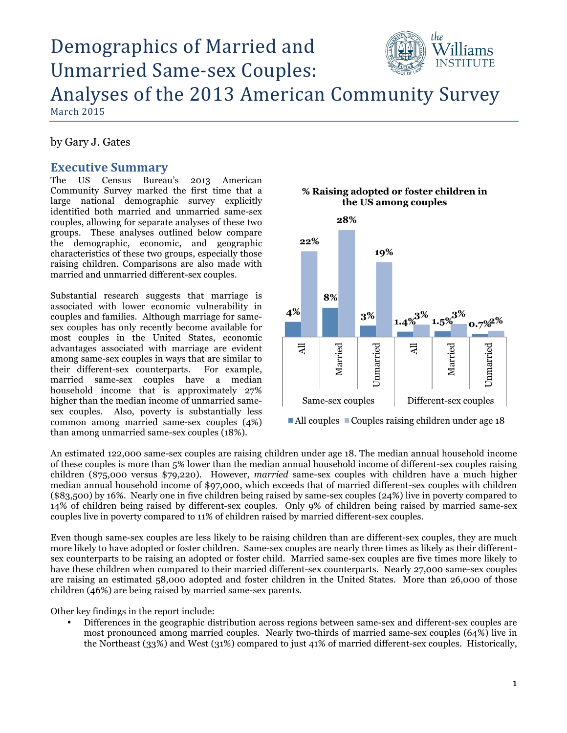# the Demographics of Married and Unmarried Same-sex Couples: Analyses of the 2013 American Community Survey

March 2015

by Gary J. Gates

### **Executive Summary**

The US Census Bureau's 2013 American Community Survey marked the first time that a large national demographic survey explicitly identified both married and unmarried same-sex couples, allowing for separate analyses of these two groups. These analyses outlined below compare the demographic, economic, and geographic characteristics of these two groups, especially those raising children. Comparisons are also made with married and unmarried different-sex couples.

Substantial research suggests that marriage is associated with lower economic vulnerability in couples and families. Although marriage for samesex couples has only recently become available for most couples in the United States, economic advantages associated with marriage are evident among same-sex couples in ways that are similar to their different-sex counterparts. For example, married same-sex couples have a median household income that is approximately 27% higher than the median income of unmarried samesex couples. Also, poverty is substantially less common among married same-sex couples (4%) than among unmarried same-sex couples (18%).

# **28% 22% 19% 8% 4%**   $\frac{3\%}{1.4\%}$  1.5%  $\frac{3\%}{0.7\%}$  2% Unmarried Unmarried All Married Unmarried Married Unmarried All Same-sex couples Different-sex couples

 $\blacksquare$  All couples  $\blacksquare$  Couples raising children under age 18

An estimated 122,000 same-sex couples are raising children under age 18. The median annual household income of these couples is more than 5% lower than the median annual household income of different-sex couples raising children (\$75,000 versus \$79,220). However, *married* same-sex couples with children have a much higher median annual household income of \$97,000, which exceeds that of married different-sex couples with children (\$83,500) by 16%. Nearly one in five children being raised by same-sex couples (24%) live in poverty compared to 14% of children being raised by different-sex couples. Only 9% of children being raised by married same-sex couples live in poverty compared to 11% of children raised by married different-sex couples.

Even though same-sex couples are less likely to be raising children than are different-sex couples, they are much more likely to have adopted or foster children. Same-sex couples are nearly three times as likely as their differentsex counterparts to be raising an adopted or foster child. Married same-sex couples are five times more likely to have these children when compared to their married different-sex counterparts. Nearly 27,000 same-sex couples are raising an estimated 58,000 adopted and foster children in the United States. More than 26,000 of those children (46%) are being raised by married same-sex parents.

Other key findings in the report include:

• Differences in the geographic distribution across regions between same-sex and different-sex couples are most pronounced among married couples. Nearly two-thirds of married same-sex couples (64%) live in the Northeast (33%) and West (31%) compared to just 41% of married different-sex couples. Historically,

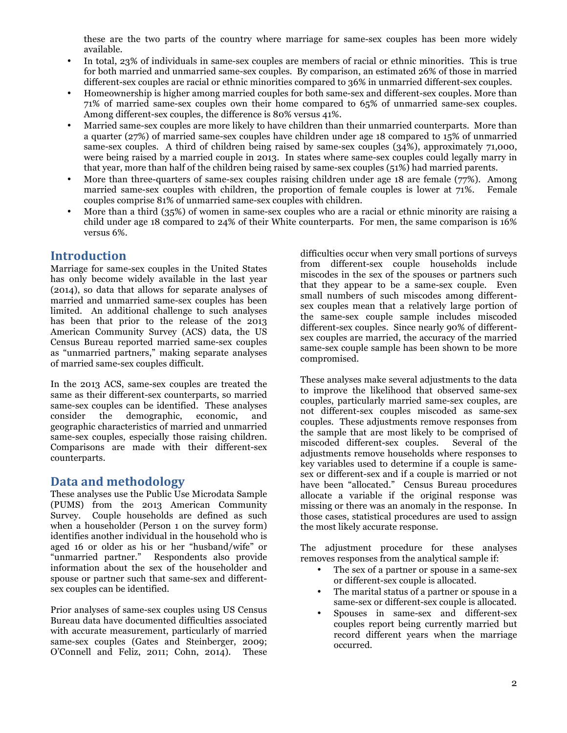these are the two parts of the country where marriage for same-sex couples has been more widely available.

- In total, 23% of individuals in same-sex couples are members of racial or ethnic minorities. This is true for both married and unmarried same-sex couples. By comparison, an estimated 26% of those in married different-sex couples are racial or ethnic minorities compared to 36% in unmarried different-sex couples.
- Homeownership is higher among married couples for both same-sex and different-sex couples. More than 71% of married same-sex couples own their home compared to 65% of unmarried same-sex couples. Among different-sex couples, the difference is 80% versus 41%.
- Married same-sex couples are more likely to have children than their unmarried counterparts. More than a quarter (27%) of married same-sex couples have children under age 18 compared to 15% of unmarried same-sex couples. A third of children being raised by same-sex couples (34%), approximately 71,000, were being raised by a married couple in 2013. In states where same-sex couples could legally marry in that year, more than half of the children being raised by same-sex couples (51%) had married parents.
- More than three-quarters of same-sex couples raising children under age 18 are female (77%). Among married same-sex couples with children, the proportion of female couples is lower at 71%. Female couples comprise 81% of unmarried same-sex couples with children.
- More than a third (35%) of women in same-sex couples who are a racial or ethnic minority are raising a child under age 18 compared to 24% of their White counterparts. For men, the same comparison is 16% versus 6%.

# **Introduction**

Marriage for same-sex couples in the United States has only become widely available in the last year (2014), so data that allows for separate analyses of married and unmarried same-sex couples has been limited. An additional challenge to such analyses has been that prior to the release of the 2013 American Community Survey (ACS) data, the US Census Bureau reported married same-sex couples as "unmarried partners," making separate analyses of married same-sex couples difficult.

In the 2013 ACS, same-sex couples are treated the same as their different-sex counterparts, so married same-sex couples can be identified. These analyses consider the demographic, economic, and geographic characteristics of married and unmarried same-sex couples, especially those raising children. Comparisons are made with their different-sex counterparts.

# **Data and methodology**

These analyses use the Public Use Microdata Sample (PUMS) from the 2013 American Community Survey. Couple households are defined as such when a householder (Person 1 on the survey form) identifies another individual in the household who is aged 16 or older as his or her "husband/wife" or "unmarried partner." Respondents also provide information about the sex of the householder and spouse or partner such that same-sex and differentsex couples can be identified.

Prior analyses of same-sex couples using US Census Bureau data have documented difficulties associated with accurate measurement, particularly of married same-sex couples (Gates and Steinberger, 2009; O'Connell and Feliz, 2011; Cohn, 2014). These

difficulties occur when very small portions of surveys from different-sex couple households include miscodes in the sex of the spouses or partners such that they appear to be a same-sex couple. Even small numbers of such miscodes among differentsex couples mean that a relatively large portion of the same-sex couple sample includes miscoded different-sex couples. Since nearly 90% of differentsex couples are married, the accuracy of the married same-sex couple sample has been shown to be more compromised.

These analyses make several adjustments to the data to improve the likelihood that observed same-sex couples, particularly married same-sex couples, are not different-sex couples miscoded as same-sex couples. These adjustments remove responses from the sample that are most likely to be comprised of miscoded different-sex couples. Several of the adjustments remove households where responses to key variables used to determine if a couple is samesex or different-sex and if a couple is married or not have been "allocated." Census Bureau procedures allocate a variable if the original response was missing or there was an anomaly in the response. In those cases, statistical procedures are used to assign the most likely accurate response.

The adjustment procedure for these analyses removes responses from the analytical sample if:

- The sex of a partner or spouse in a same-sex or different-sex couple is allocated.
- The marital status of a partner or spouse in a same-sex or different-sex couple is allocated.
- Spouses in same-sex and different-sex couples report being currently married but record different years when the marriage occurred.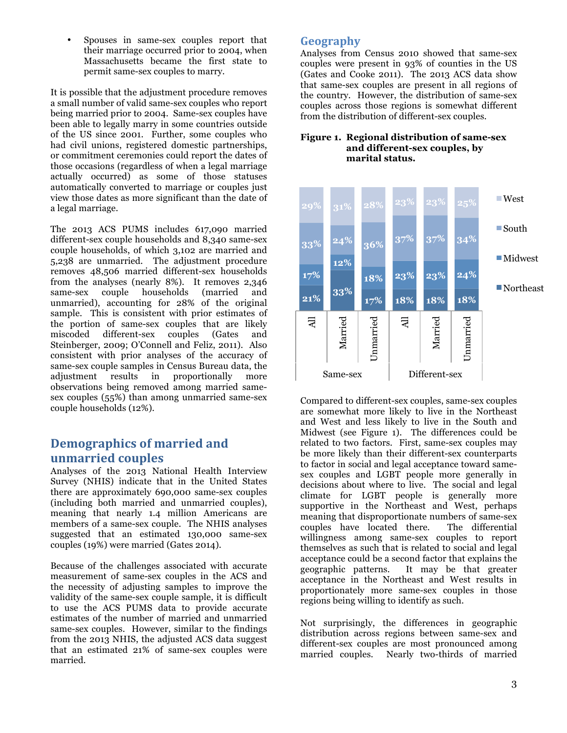• Spouses in same-sex couples report that their marriage occurred prior to 2004, when Massachusetts became the first state to permit same-sex couples to marry.

It is possible that the adjustment procedure removes a small number of valid same-sex couples who report being married prior to 2004. Same-sex couples have been able to legally marry in some countries outside of the US since 2001. Further, some couples who had civil unions, registered domestic partnerships, or commitment ceremonies could report the dates of those occasions (regardless of when a legal marriage actually occurred) as some of those statuses automatically converted to marriage or couples just view those dates as more significant than the date of a legal marriage.

The 2013 ACS PUMS includes 617,090 married different-sex couple households and 8,340 same-sex couple households, of which 3,102 are married and 5,238 are unmarried. The adjustment procedure removes 48,506 married different-sex households from the analyses (nearly 8%). It removes 2,346 same-sex couple households (married and unmarried), accounting for 28% of the original sample. This is consistent with prior estimates of the portion of same-sex couples that are likely miscoded different-sex couples (Gates and Steinberger, 2009; O'Connell and Feliz, 2011). Also consistent with prior analyses of the accuracy of same-sex couple samples in Census Bureau data, the adjustment results in proportionally more observations being removed among married samesex couples (55%) than among unmarried same-sex couple households (12%).

# **Demographics of married and unmarried couples**

Analyses of the 2013 National Health Interview Survey (NHIS) indicate that in the United States there are approximately 690,000 same-sex couples (including both married and unmarried couples), meaning that nearly 1.4 million Americans are members of a same-sex couple. The NHIS analyses suggested that an estimated 130,000 same-sex couples (19%) were married (Gates 2014).

Because of the challenges associated with accurate measurement of same-sex couples in the ACS and the necessity of adjusting samples to improve the validity of the same-sex couple sample, it is difficult to use the ACS PUMS data to provide accurate estimates of the number of married and unmarried same-sex couples. However, similar to the findings from the 2013 NHIS, the adjusted ACS data suggest that an estimated 21% of same-sex couples were married.

# **Geography**

Analyses from Census 2010 showed that same-sex couples were present in 93% of counties in the US (Gates and Cooke 2011). The 2013 ACS data show that same-sex couples are present in all regions of the country. However, the distribution of same-sex couples across those regions is somewhat different from the distribution of different-sex couples.

#### **Figure 1. Regional distribution of same-sex and different-sex couples, by marital status.**



Compared to different-sex couples, same-sex couples are somewhat more likely to live in the Northeast and West and less likely to live in the South and Midwest (see Figure 1). The differences could be related to two factors. First, same-sex couples may be more likely than their different-sex counterparts to factor in social and legal acceptance toward samesex couples and LGBT people more generally in decisions about where to live. The social and legal climate for LGBT people is generally more supportive in the Northeast and West, perhaps meaning that disproportionate numbers of same-sex<br>couples have located there. The differential couples have located there. willingness among same-sex couples to report themselves as such that is related to social and legal acceptance could be a second factor that explains the geographic patterns. It may be that greater acceptance in the Northeast and West results in proportionately more same-sex couples in those regions being willing to identify as such.

Not surprisingly, the differences in geographic distribution across regions between same-sex and different-sex couples are most pronounced among married couples. Nearly two-thirds of married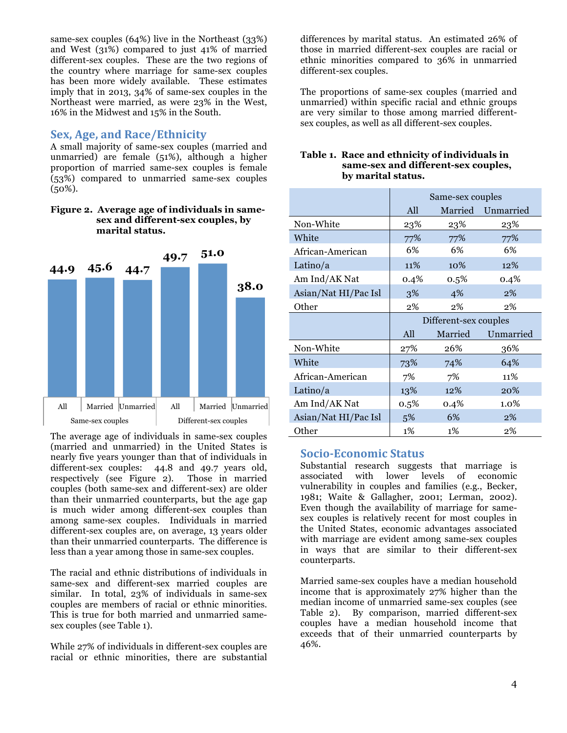same-sex couples (64%) live in the Northeast (33%) and West (31%) compared to just 41% of married different-sex couples. These are the two regions of the country where marriage for same-sex couples has been more widely available. These estimates imply that in 2013, 34% of same-sex couples in the Northeast were married, as were 23% in the West, 16% in the Midwest and 15% in the South.

### **Sex, Age, and Race/Ethnicity**

A small majority of same-sex couples (married and unmarried) are female (51%), although a higher proportion of married same-sex couples is female (53%) compared to unmarried same-sex couples  $(50\%).$ 

**Figure 2. Average age of individuals in samesex and different-sex couples, by marital status.**



The average age of individuals in same-sex couples (married and unmarried) in the United States is nearly five years younger than that of individuals in different-sex couples: 44.8 and 49.7 years old, respectively (see Figure 2). Those in married couples (both same-sex and different-sex) are older than their unmarried counterparts, but the age gap is much wider among different-sex couples than among same-sex couples. Individuals in married different-sex couples are, on average, 13 years older than their unmarried counterparts. The difference is less than a year among those in same-sex couples.

The racial and ethnic distributions of individuals in same-sex and different-sex married couples are similar. In total, 23% of individuals in same-sex couples are members of racial or ethnic minorities. This is true for both married and unmarried samesex couples (see Table 1).

While 27% of individuals in different-sex couples are racial or ethnic minorities, there are substantial

differences by marital status. An estimated 26% of those in married different-sex couples are racial or ethnic minorities compared to 36% in unmarried different-sex couples.

The proportions of same-sex couples (married and unmarried) within specific racial and ethnic groups are very similar to those among married differentsex couples, as well as all different-sex couples.

| Table 1. Race and ethnicity of individuals in |
|-----------------------------------------------|
| same-sex and different-sex couples,           |
| by marital status.                            |
|                                               |

|                      | Same-sex couples      |         |           |  |
|----------------------|-----------------------|---------|-----------|--|
|                      | All                   | Married | Unmarried |  |
| Non-White            | 23%                   | 23%     | 23%       |  |
| White                | 77%                   | 77%     | 77%       |  |
| African-American     | 6%                    | 6%      | 6%        |  |
| Latino/ $a$          | 11%                   | 10%     | 12%       |  |
| Am Ind/AK Nat        | 0.4%                  | 0.5%    | 0.4%      |  |
| Asian/Nat HI/Pac Isl | 3%                    | 4%      | 2%        |  |
| Other                | 2%                    | 2%      | 2%        |  |
|                      | Different-sex couples |         |           |  |
|                      |                       |         |           |  |
|                      | All                   | Married | Unmarried |  |
| Non-White            | 27%                   | 26%     | 36%       |  |
| White                | 73%                   | 74%     | 64%       |  |
| African-American     | 7%                    | 7%      | 11%       |  |
| Latino/a             | 13%                   | 12%     | 20%       |  |
| Am Ind/AK Nat        | $0.5\%$               | 0.4%    | 1.0%      |  |
| Asian/Nat HI/Pac Isl | 5%                    | 6%      | 2%        |  |

### **Socio-Economic Status**

Substantial research suggests that marriage is associated with lower levels of economic vulnerability in couples and families (e.g., Becker, 1981; Waite & Gallagher, 2001; Lerman, 2002). Even though the availability of marriage for samesex couples is relatively recent for most couples in the United States, economic advantages associated with marriage are evident among same-sex couples in ways that are similar to their different-sex counterparts.

Married same-sex couples have a median household income that is approximately 27% higher than the median income of unmarried same-sex couples (see Table 2). By comparison, married different-sex couples have a median household income that exceeds that of their unmarried counterparts by 46%.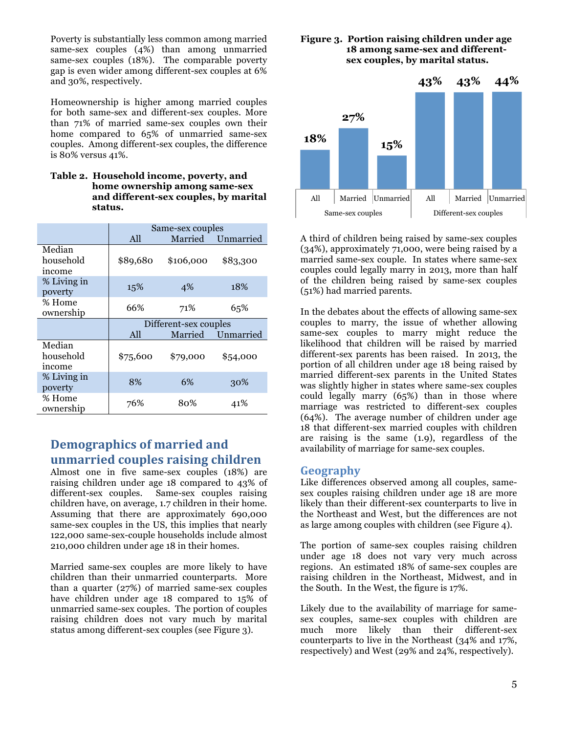Poverty is substantially less common among married same-sex couples (4%) than among unmarried same-sex couples (18%). The comparable poverty gap is even wider among different-sex couples at 6% and 30%, respectively.

Homeownership is higher among married couples for both same-sex and different-sex couples. More than 71% of married same-sex couples own their home compared to 65% of unmarried same-sex couples. Among different-sex couples, the difference is 80% versus 41%.

| Table 2. Household income, poverty, and |
|-----------------------------------------|
| home ownership among same-sex           |
| and different-sex couples, by marital   |
| status.                                 |

|                               | Same-sex couples      |           |           |
|-------------------------------|-----------------------|-----------|-----------|
|                               | All                   | Married   | Unmarried |
| Median<br>household<br>income | \$89,680              | \$106,000 | \$83,300  |
| % Living in<br>poverty        | 15%                   | 4%        | 18%       |
| % Home<br>ownership           | 66%                   | 71%       | 65%       |
|                               | Different-sex couples |           |           |
|                               |                       |           |           |
|                               | All                   | Married   | Unmarried |
| Median<br>household<br>income | \$75,600              | \$79,000  | \$54,000  |
| % Living in<br>poverty        | 8%                    | 6%        | 30%       |

# **Demographics of married and unmarried couples raising children**

Almost one in five same-sex couples (18%) are raising children under age 18 compared to 43% of different-sex couples. Same-sex couples raising children have, on average, 1.7 children in their home. Assuming that there are approximately 690,000 same-sex couples in the US, this implies that nearly 122,000 same-sex-couple households include almost 210,000 children under age 18 in their homes.

Married same-sex couples are more likely to have children than their unmarried counterparts. More than a quarter (27%) of married same-sex couples have children under age 18 compared to 15% of unmarried same-sex couples. The portion of couples raising children does not vary much by marital status among different-sex couples (see Figure 3).

### **Figure 3. Portion raising children under age 18 among same-sex and differentsex couples, by marital status.**



A third of children being raised by same-sex couples (34%), approximately 71,000, were being raised by a married same-sex couple. In states where same-sex couples could legally marry in 2013, more than half of the children being raised by same-sex couples (51%) had married parents.

In the debates about the effects of allowing same-sex couples to marry, the issue of whether allowing same-sex couples to marry might reduce the likelihood that children will be raised by married different-sex parents has been raised. In 2013, the portion of all children under age 18 being raised by married different-sex parents in the United States was slightly higher in states where same-sex couples could legally marry (65%) than in those where marriage was restricted to different-sex couples (64%). The average number of children under age 18 that different-sex married couples with children are raising is the same (1.9), regardless of the availability of marriage for same-sex couples.

### **Geography**

Like differences observed among all couples, samesex couples raising children under age 18 are more likely than their different-sex counterparts to live in the Northeast and West, but the differences are not as large among couples with children (see Figure 4).

The portion of same-sex couples raising children under age 18 does not vary very much across regions. An estimated 18% of same-sex couples are raising children in the Northeast, Midwest, and in the South. In the West, the figure is 17%.

Likely due to the availability of marriage for samesex couples, same-sex couples with children are much more likely than their different-sex counterparts to live in the Northeast (34% and 17%, respectively) and West (29% and 24%, respectively).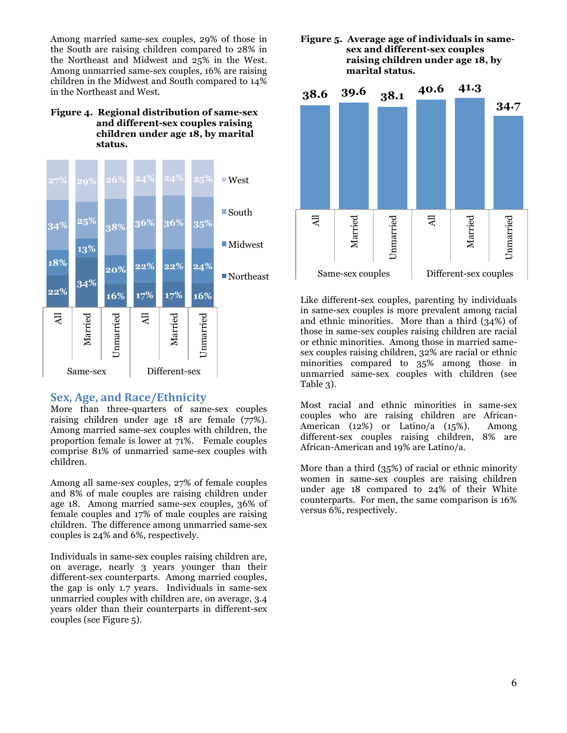Among married same-sex couples, 29% of those in the South are raising children compared to 28% in the Northeast and Midwest and 25% in the West. Among unmarried same-sex couples, 16% are raising children in the Midwest and South compared to 14% in the Northeast and West.

### **Figure 4. Regional distribution of same-sex and different-sex couples raising children under age 18, by marital status.**



### **Sex, Age, and Race/Ethnicity**

More than three-quarters of same-sex couples raising children under age 18 are female  $(77%)$ . Among married same-sex couples with children, the proportion female is lower at 71%. Female couples comprise 81% of unmarried same-sex couples with children.

Among all same-sex couples, 27% of female couples and 8% of male couples are raising children under age 18. Among married same-sex couples, 36% of female couples and 17% of male couples are raising children. The difference among unmarried same-sex couples is 24% and 6%, respectively.

Individuals in same-sex couples raising children are, on average, nearly 3 years younger than their different-sex counterparts. Among married couples, the gap is only 1.7 years. Individuals in same-sex unmarried couples with children are, on average, 3.4 years older than their counterparts in different-sex couples (see Figure 5).

#### **Figure 5. Average age of individuals in samesex and different-sex couples raising children under age 18, by marital status.**



Like different-sex couples, parenting by individuals in same-sex couples is more prevalent among racial and ethnic minorities. More than a third (34%) of those in same-sex couples raising children are racial or ethnic minorities. Among those in married samesex couples raising children, 32% are racial or ethnic minorities compared to 35% among those in unmarried same-sex couples with children (see Table 3).

Most racial and ethnic minorities in same-sex couples who are raising children are African-American (12%) or Latino/a (15%). Among different-sex couples raising children, 8% are African-American and 19% are Latino/a.

More than a third (35%) of racial or ethnic minority women in same-sex couples are raising children under age 18 compared to 24% of their White counterparts. For men, the same comparison is 16% versus 6%, respectively.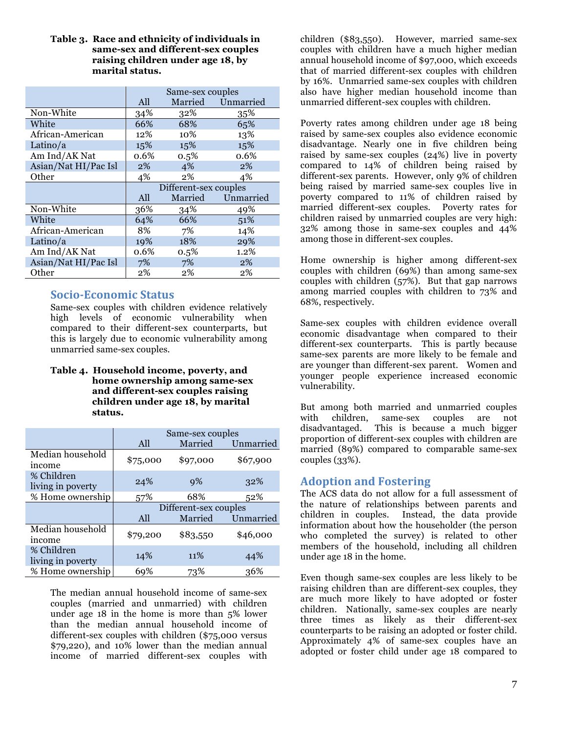#### **Table 3. Race and ethnicity of individuals in same-sex and different-sex couples raising children under age 18, by marital status.**

|                      | Same-sex couples |                       |           |
|----------------------|------------------|-----------------------|-----------|
|                      | All              | Married               | Unmarried |
| Non-White            | 34%              | 32%                   | 35%       |
| White                | 66%              | 68%                   | 65%       |
| African-American     | 12%              | 10%                   | 13%       |
| Latino/ $a$          | 15%              | 15%                   | 15%       |
| Am Ind/AK Nat        | 0.6%             | $0.5\%$               | 0.6%      |
| Asian/Nat HI/Pac Isl | 2%               | 4%                    | 2%        |
| Other                | 4%               | 2%                    | 4%        |
|                      |                  |                       |           |
|                      |                  | Different-sex couples |           |
|                      | All              | Married               | Unmarried |
| Non-White            | 36%              | 34%                   | 49%       |
| White                | 64%              | 66%                   | 51%       |
| African-American     | 8%               | 7%                    | 14%       |
| Latino/ $a$          | 19%              | 18%                   | 29%       |
| Am Ind/AK Nat        | 0.6%             | 0.5%                  | 1.2%      |
| Asian/Nat HI/Pac Isl | 7%               | 7%                    | $2\%$     |

### **Socio-Economic Status**

Same-sex couples with children evidence relatively high levels of economic vulnerability when compared to their different-sex counterparts, but this is largely due to economic vulnerability among unmarried same-sex couples.

#### **Table 4. Household income, poverty, and home ownership among same-sex and different-sex couples raising children under age 18, by marital status.**

|                                 | Same-sex couples      |          |           |  |
|---------------------------------|-----------------------|----------|-----------|--|
|                                 | All                   | Married  | Unmarried |  |
| Median household<br>income      | \$75,000              | \$97,000 | \$67,900  |  |
| % Children<br>living in poverty | 24%                   | 9%       | 32%       |  |
| % Home ownership                | 57%                   | 68%      | 52%       |  |
|                                 | Different-sex couples |          |           |  |
|                                 | All                   | Married  | Unmarried |  |
| Median household<br>income      | \$79,200              | \$83,550 | \$46,000  |  |
| % Children<br>living in poverty | 14%                   | 11%      | 44%       |  |
| % Home ownership                | 69%                   | 73%      | 36%       |  |

The median annual household income of same-sex couples (married and unmarried) with children under age 18 in the home is more than 5% lower than the median annual household income of different-sex couples with children (\$75,000 versus \$79,220), and 10% lower than the median annual income of married different-sex couples with

children (\$83,550). However, married same-sex couples with children have a much higher median annual household income of \$97,000, which exceeds that of married different-sex couples with children by 16%. Unmarried same-sex couples with children also have higher median household income than unmarried different-sex couples with children.

Poverty rates among children under age 18 being raised by same-sex couples also evidence economic disadvantage. Nearly one in five children being raised by same-sex couples (24%) live in poverty compared to 14% of children being raised by different-sex parents. However, only 9% of children being raised by married same-sex couples live in poverty compared to 11% of children raised by married different-sex couples. Poverty rates for children raised by unmarried couples are very high: 32% among those in same-sex couples and 44% among those in different-sex couples.

Home ownership is higher among different-sex couples with children (69%) than among same-sex couples with children (57%). But that gap narrows among married couples with children to 73% and 68%, respectively.

Same-sex couples with children evidence overall economic disadvantage when compared to their different-sex counterparts. This is partly because same-sex parents are more likely to be female and are younger than different-sex parent. Women and younger people experience increased economic vulnerability.

But among both married and unmarried couples with children, same-sex couples are not disadvantaged. This is because a much bigger proportion of different-sex couples with children are married (89%) compared to comparable same-sex couples (33%).

# **Adoption and Fostering**

The ACS data do not allow for a full assessment of the nature of relationships between parents and children in couples. Instead, the data provide information about how the householder (the person who completed the survey) is related to other members of the household, including all children under age 18 in the home.

Even though same-sex couples are less likely to be raising children than are different-sex couples, they are much more likely to have adopted or foster children. Nationally, same-sex couples are nearly three times as likely as their different-sex counterparts to be raising an adopted or foster child. Approximately 4% of same-sex couples have an adopted or foster child under age 18 compared to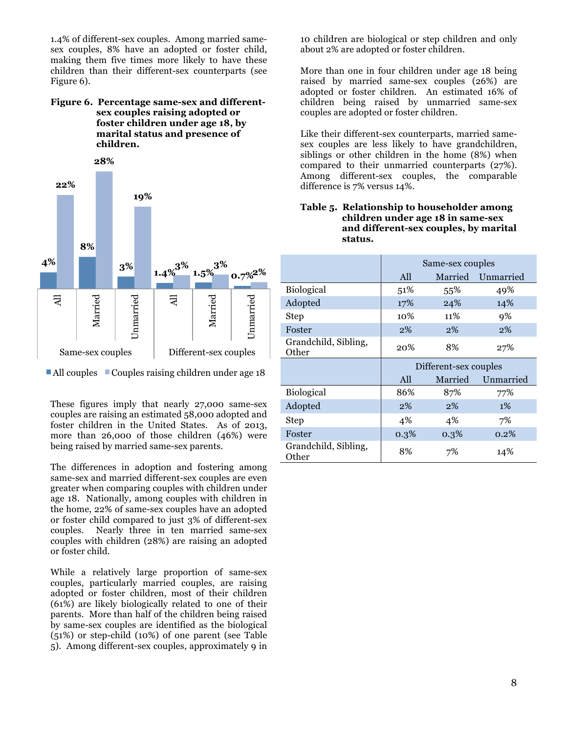1.4% of different-sex couples. Among married samesex couples, 8% have an adopted or foster child, making them five times more likely to have these children than their different-sex counterparts (see Figure 6).

#### **Figure 6. Percentage same-sex and differentsex couples raising adopted or foster children under age 18, by marital status and presence of children.**



 $\blacksquare$  All couples  $\blacksquare$  Couples raising children under age 18

These figures imply that nearly 27,000 same-sex couples are raising an estimated 58,000 adopted and foster children in the United States. As of 2013, more than 26,000 of those children (46%) were being raised by married same-sex parents.

The differences in adoption and fostering among same-sex and married different-sex couples are even greater when comparing couples with children under age 18. Nationally, among couples with children in the home, 22% of same-sex couples have an adopted or foster child compared to just 3% of different-sex couples. Nearly three in ten married same-sex couples with children (28%) are raising an adopted or foster child.

While a relatively large proportion of same-sex couples, particularly married couples, are raising adopted or foster children, most of their children (61%) are likely biologically related to one of their parents. More than half of the children being raised by same-sex couples are identified as the biological (51%) or step-child (10%) of one parent (see Table 5). Among different-sex couples, approximately 9 in

10 children are biological or step children and only about 2% are adopted or foster children.

More than one in four children under age 18 being raised by married same-sex couples (26%) are adopted or foster children. An estimated 16% of children being raised by unmarried same-sex couples are adopted or foster children.

Like their different-sex counterparts, married samesex couples are less likely to have grandchildren, siblings or other children in the home (8%) when compared to their unmarried counterparts (27%). Among different-sex couples, the comparable difference is 7% versus 14%.

#### **Table 5. Relationship to householder among children under age 18 in same-sex and different-sex couples, by marital status.**

|                               | Same-sex couples      |         |           |  |
|-------------------------------|-----------------------|---------|-----------|--|
|                               | All                   | Married | Unmarried |  |
| Biological                    | 51%                   | 55%     | 49%       |  |
| Adopted                       | 17%                   | 24%     | 14%       |  |
| Step                          | 10%                   | 11%     | 9%        |  |
| Foster                        | $2\%$                 | $2\%$   | 2%        |  |
| Grandchild, Sibling,<br>Other | 20%                   | 8%      | 27%       |  |
|                               | Different-sex couples |         |           |  |
|                               |                       |         |           |  |
|                               | All                   | Married | Unmarried |  |
| <b>Biological</b>             | 86%                   | 87%     | 77%       |  |
| Adopted                       | $2\%$                 | 2%      | $1\%$     |  |
| Step                          | 4%                    | 4%      | 7%        |  |
| Foster                        | 0.3%                  | $0.3\%$ | 0.2%      |  |